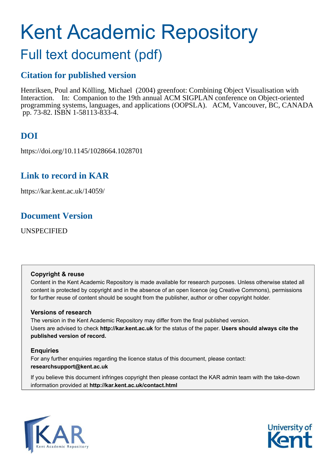# Kent Academic Repository

# Full text document (pdf)

# **Citation for published version**

Henriksen, Poul and Kölling, Michael (2004) greenfoot: Combining Object Visualisation with Interaction. In: Companion to the 19th annual ACM SIGPLAN conference on Object-oriented programming systems, languages, and applications (OOPSLA). ACM, Vancouver, BC, CANADA pp. 73-82. ISBN 1-58113-833-4.

# **DOI**

https://doi.org/10.1145/1028664.1028701

# **Link to record in KAR**

https://kar.kent.ac.uk/14059/

# **Document Version**

UNSPECIFIED

# **Copyright & reuse**

Content in the Kent Academic Repository is made available for research purposes. Unless otherwise stated all content is protected by copyright and in the absence of an open licence (eg Creative Commons), permissions for further reuse of content should be sought from the publisher, author or other copyright holder.

# **Versions of research**

The version in the Kent Academic Repository may differ from the final published version. Users are advised to check **http://kar.kent.ac.uk** for the status of the paper. **Users should always cite the published version of record.**

# **Enquiries**

For any further enquiries regarding the licence status of this document, please contact: **researchsupport@kent.ac.uk**

If you believe this document infringes copyright then please contact the KAR admin team with the take-down information provided at **http://kar.kent.ac.uk/contact.html**



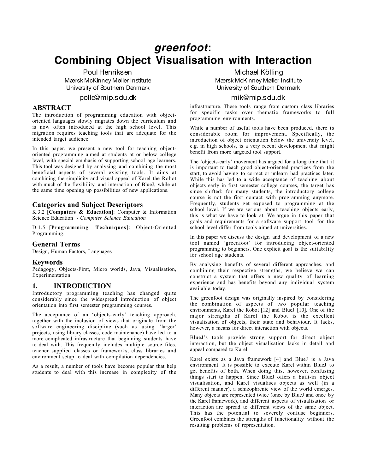# **greenfoot: Combining Object Visualisation with Interaction**

Poul Henriksen Mærsk McKinney Møller Institute University of Southern Denmark

# polle@mip.sdu.dk

# **ABSTRACT**

The introduction of programming education with objectoriented languages slowly migrates down the curriculum and is now often introduced at the high school level. This migration requires teaching tools that are adequate for the intended target audience.

In this paper, we present a new tool for teaching objectoriented programming aimed at students at or below college level, with special emphasis of supporting school age learners. This tool was designed by analysing and combining the most beneficial aspects of several existing tools. It aims at combining the simplicity and visual appeal of Karel the Robot with much of the flexibility and interaction of BlueJ, while at the same time opening up possibilities of new applications.

# Categories and Subject Descriptors

K.3.2  $\overline{C}$ Computers & Education]: Computer & Information Science Education - Computer Science Education

D.1.5 [Programming Techniques]: Object-Oriented Programming.

## General Terms

Design, Human Factors, Languages

## **Keywords**

Pedagogy, Objects-First, Micro worlds, Java, Visualisation, Experimentation.

# 1. INTRODUCTION

Introductory programming teaching has changed quite considerably since the widespread introduction of object orientation into first semester programming courses.

The acceptance of an 'objects-early' teaching approach, together with the inclusion of views that originate from the software engineering discipline (such as using 'larger' projects, using library classes, code maintenance) have led to a more complicated infrastructure that beginning students have to deal with. This frequently includes multiple source files, teacher supplied classes or frameworks, class libraries and environment setup to deal with compilation dependencies.

As a result, a number of tools have become popular that help students to deal with this increase in complexity of the

Michael Kölling Mærsk McKinney Møller Institute University of Southern Denmark

### mik@mip.sdu.dk

infrastructure. These tools range from custom class libraries for specific tasks over thematic frameworks to full programming environments.

While a number of useful tools have been produced, there is considerable room for improvement. Specifically, the introduction of object orientation below the university level, e.g. in high schools, is a very recent development that might benefit from more targeted tool support.

The 'objects-early' movement has argued for a long time that it is important to teach good object-oriented practices from the start, to avoid having to correct or unlearn bad practices later. While this has led to a wide acceptance of teaching about objects early in first semester college courses, the target has since shifted: for many students, the introductory college course is not the first contact with programming anymore. Frequently, students get exposed to programming at the school level. If we are serious about teaching objects early, this is what we have to look at. We argue in this paper that goals and requirements for a software support tool for the school level differ from tools aimed at universities.

In this paper we discuss the design and development of a new tool named 'greenfoot' for introducing object-oriented programming to beginners. One explicit goal is the suitability for school age students.

By analysing benefits of several different approaches, and combining their respective strengths, we believe we can construct a system that offers a new quality of learning experience and has benefits beyond any individual system available today.

The greenfoot design was originally inspired by considering the combination of aspects of two popular teaching environments, Karel the Robot [12] and BlueJ [10]. One of the major strengths of Karel the Robot is the excellent visualisation of objects, their state and behaviour. It lacks, however, a means for direct interaction with objects.

BlueJ's tools provide strong support for direct object interaction, but the object visualisation lacks in detail and appeal compared to Karel.

Karel exists as a Java framework [4] and BlueJ is a Java environment. It is possible to execute Karel within BlueJ to get benefits of both. When doing this, however, confusing things start to happen. Since BlueJ offers a built-in object visualisation, and Karel visualises objects as well (in a different manner), a schizophrenic view of the world emerges. Many objects are represented twice (once by BlueJ and once by the Karel framework), and different aspects of visualisation or interaction are spread to different views of the same object. This has the potential to severely confuse beginners. Greenfoot combines the strengths of functionality without the resulting problems of representation.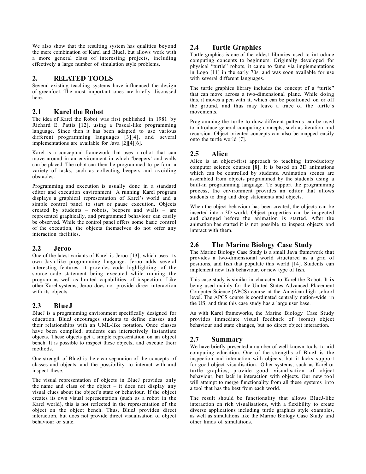We also show that the resulting system has qualities beyond the mere combination of Karel and BlueJ, but allows work with a more general class of interesting projects, including effectively a large number of simulation style problems.

# 2. RELATED TOOLS

Several existing teaching systems have influenced the design of greenfoot. The most important ones are briefly discussed here.

# 2.1 Karel the Robot

The idea of Karel the Robot was first published in 1981 by Richard E. Pattis [12], using a Pascal-like programming language. Since then it has been adapted to use various different programming languages [3][4], and several implementations are available for Java  $\lceil 2 \rceil \lceil 4 \rceil \lceil 6 \rceil$ .

Karel is a conceptual framework that uses a robot that can move around in an environment in which 'beepers' and walls can be placed. The robot can then be programmed to perform a variety of tasks, such as collecting beepers and avoiding obstacles.

Programming and execution is usually done in a standard editor and execution environment. A running Karel program displays a graphical representation of Karel's world and a simple control panel to start or pause execution. Objects created by students – robots, beepers and walls – are represented graphically, and programmed behaviour can easily be observed. While the control panel offers some basic control of the execution, the objects themselves do not offer any interaction facilities.

## 2.2 Jeroo

One of the latest variants of Karel is Jeroo [13], which uses its own Java-like programming language. Jeroo adds several interesting features: it provides code highlighting of the source code statement being executed while running the program as well as limited capabilities of inspection. Like other Karel systems, Jeroo does not provide direct interaction with its objects.

# 2.3 BlueJ

BlueJ is a programming environment specifically designed for education. BlueJ encourages students to define classes and their relationships with an UML-like notation. Once classes have been compiled, students can interactively instantiate objects. These objects get a simple representation on an object bench. It is possible to inspect these objects, and execute their methods.

One strength of BlueJ is the clear separation of the concepts of classes and objects, and the possibility to interact with and inspect these.

The visual representation of objects in BlueJ provides only the name and class of the object – it does not display any visual clues about the object's state or behaviour. If the object creates its own visual representation (such as a robot in the Karel world), this is not reflected in the representation of the object on the object bench. Thus, BlueJ provides direct interaction, but does not provide direct visualisation of object behaviour or state.

# 2.4 Turtle Graphics

Turtle graphics is one of the oldest libraries used to introduce computing concepts to beginners. Originally developed for physical "turtle" robots, it came to fame via implementations in Logo [11] in the early 70s, and was soon available for use with several different languages.

The turtle graphics library includes the concept of a "turtle" that can move across a two-dimensional plane. While doing this, it moves a pen with it, which can be positioned on or off the ground, and thus may leave a trace of the turtle's movements.

Programming the turtle to draw different patterns can be used to introduce general computing concepts, such as iteration and recursion. Object-oriented concepts can also be mapped easily onto the turtle world [7].

# 2.5 Alice

Alice is an object-first approach to teaching introductory computer science courses [8]. It is based on 3D animations which can be controlled by students. Animation scenes are assembled from objects programmed by the students using a built-in programming language. To support the programming process, the environment provides an editor that allows students to drag and drop statements and objects.

When the object behaviour has been created, the objects can be inserted into a 3D world. Object properties can be inspected and changed before the animation is started. After the animation has started it is not possible to inspect objects and interact with them.

# 2.6 The Marine Biology Case Study

The Marine Biology Case Study is a small Java framework that provides a two-dimensional world structured as a grid of positions, and fish that populate this world [14]. Students can implement new fish behaviour, or new type of fish.

This case study is similar in character to Karel the Robot. It is being used mainly for the United States Advanced Placement Computer Science (APCS) course at the American high school level. The APCS course is coordinated centrally nation-wide in the US, and thus this case study has a large user base.

As with Karel frameworks, the Marine Biology Case Study provides immediate visual feedback of (some) object behaviour and state changes, but no direct object interaction.

# 2.7 Summary

We have briefly presented a number of well known tools to aid computing education. One of the strengths of BlueJ is the inspection and interaction with objects, but it lacks support for good object visualisation. Other systems, such as Karel or turtle graphics, provide good visualisation of object behaviour, but lack in interaction with objects. Our new tool will attempt to merge functionality from all these systems into a tool that has the best from each world.

The result should be functionality that allows BlueJ-like interaction on rich visualisations, with a flexibility to create diverse applications including turtle graphics style examples, as well as simulations like the Marine Biology Case Study and other kinds of simulations.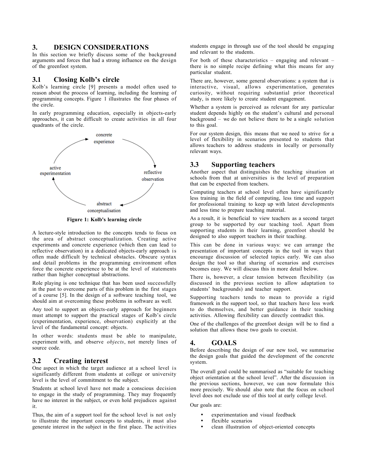#### 3. DESIGN CONSIDERATIONS

In this section we briefly discuss some of the background arguments and forces that had a strong influence on the design of the greenfoot system.

#### 3.1 Closing Kolb's circle

Kolb's learning circle [9] presents a model often used to reason about the process of learning, including the learning of programming concepts. Figure 1 illustrates the four phases of the circle.

In early programming education, especially in objects-early approaches, it can be difficult to create activities in all four quadrants of the circle.



Figure 1: Kolb's learning circle

A lecture-style introduction to the concepts tends to focus on the area of abstract conceptualization. Creating active experiments and concrete experience (which then can lead to reflective observation) in a dedicated objects-early approach is often made difficult by technical obstacles. Obscure syntax and detail problems in the programming environment often force the concrete experience to be at the level of statements rather than higher conceptual abstractions.

Role playing is one technique that has been used successfully in the past to overcome parts of this problem in the first stages of a course [5]. In the design of a software teaching tool, we should aim at overcoming these problems in software as well.

Any tool to support an objects-early approach for beginners must attempt to support the practical stages of Kolb's circle (experimentation, experience, observation) explicitly at the level of the fundamental concept: objects.

In other words: students must be able to manipulate, experiment with, and observe *objects*, not merely lines of source code.

## 3.2 Creating interest

One aspect in which the target audience at a school level is significantly different from students at college or university level is the level of commitment to the subject.

Students at school level have not made a conscious decision to engage in the study of programming. They may frequently have no interest in the subject, or even hold prejudices against it.

Thus, the aim of a support tool for the school level is not only to illustrate the important concepts to students, it must also generate interest in the subject in the first place. The activities

students engage in through use of the tool should be engaging and relevant to the students.

For both of these characteristics – engaging and relevant – there is no simple recipe defining what this means for any particular student.

There are, however, some general observations: a system that is interactive, visual, allows experimentation, generates curiosity, without requiring substantial prior theoretical study, is more likely to create student engagement.

Whether a system is perceived as relevant for any particular student depends highly on the student's cultural and personal  $background -$  we do not believe there to be a single solution to this goal.

For our system design, this means that we need to strive for a level of flexibility in scenarios presented to students that allows teachers to address students in locally or personally relevant ways.

# 3.3 Supporting teachers

Another aspect that distinguishes the teaching situation at schools from that at universities is the level of preparation that can be expected from teachers.

Computing teachers at school level often have significantly less training in the field of computing, less time and support for professional training to keep up with latest developments and less time to prepare teaching material.

As a result, it is beneficial to view teachers as a second target group to be supported by our teaching tool. Apart from supporting students in their learning, greenfoot should be designed to also support teachers in their teaching.

This can be done in various ways: we can arrange the presentation of important concepts in the tool in ways that encourage discussion of selected topics early. We can also design the tool so that sharing of scenarios and exercises becomes easy. We will discuss this in more detail below.

There is, however, a clear tension between flexibility (as discussed in the previous section to allow adaptation to students' backgrounds) and teacher support.

Supporting teachers tends to mean to provide a rigid framework in the support tool, so that teachers have less work to do themselves, and better guidance in their teaching activities. Allowing flexibility can directly contradict this.

One of the challenges of the greenfoot design will be to find a solution that allows these two goals to coexist.

#### 4. GOALS

Before describing the design of our new tool, we summarise the design goals that guided the development of the concrete system.

The overall goal could be summarised as "suitable for teaching object orientation at the school level". After the discussion in the previous sections, however, we can now formulate this more precisely. We should also note that the focus on school level does not exclude use of this tool at early college level.

Our goals are:

- experimentation and visual feedback
- flexible scenarios
- clean illustration of object-oriented concepts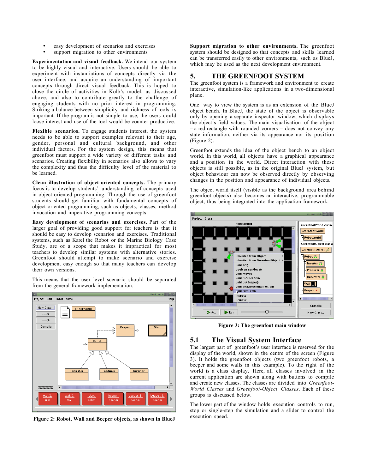- easy development of scenarios and exercises
- support migration to other environments

Experimentation and visual feedback. We intend our system to be highly visual and interactive. Users should be able to experiment with instantiations of concepts directly via the user interface, and acquire an understanding of important concepts through direct visual feedback. This is hoped to close the circle of activities in Kolb's model, as discussed above, and also to contribute greatly to the challenge of engaging students with no prior interest in programming. Striking a balance between simplicity and richness of tools is important. If the program is not simple to use, the users could loose interest and use of the tool would be counter productive.

Flexible scenarios. To engage students interest, the system needs to be able to support examples relevant to their age, gender, personal and cultural background, and other individual factors. For the system design, this means that greenfoot must support a wide variety of different tasks and scenarios. Creating flexibility in scenarios also allows to vary the complexity and thus the difficulty level of the material to be learned.

Clean illustration of object-oriented concepts. The primary focus is to develop students' understanding of concepts used in object-oriented programming. Through the use of greenfoot students should get familiar with fundamental concepts of object-oriented programming, such as objects, classes, method invocation and imperative programming concepts.

Easy development of scenarios and exercises. Part of the larger goal of providing good support for teachers is that it should be easy to develop scenarios and exercises. Traditional systems, such as Karel the Robot or the Marine Biology Case Study, are of a scope that makes it impractical for most teachers to develop similar systems with alternative stories. Greenfoot should attempt to make scenario and exercise development easy enough so that many teachers can develop their own versions.

This means that the user level scenario should be separated from the general framework implementation.



Figure 2: Robot, Wall and Beeper objects, as shown in BlueJ

Support migration to other environments. The greenfoot system should be designed so that concepts and skills learned can be transferred easily to other environments, such as BlueJ, which may be used as the next development environment.

# 5. THE GREENFOOT SYSTEM

The greenfoot system is a framework and environment to create interactive, simulation-like applications in a two-dimensional plane.

One way to view the system is as an extension of the BlueJ object bench. In BlueJ, the state of the object is observable only by opening a separate inspector window, which displays the object's field values. The main visualisation of the object – a red rectangle with rounded corners – does not convey any state information, neither via its appearance nor its position (Figure 2).

Greenfoot extends the idea of the object bench to an object world. In this world, all objects have a graphical appearance and a position in the world. Direct interaction with these objects is still possible, as in the original BlueJ system, but object behaviour can now be observed directly by observing changes in the position and appearance of individual objects.

The object world itself (visible as the background area behind greenfoot objects) also becomes an interactive, programmable object, thus being integrated into the application framework.



Figure 3: The greenfoot main window

# 5.1 The Visual System Interface

The largest part of greenfoot's user interface is reserved for the display of the world, shown in the centre of the screen (Figure 3). It holds the greenfoot objects (two greenfoot robots, a beeper and some walls in this example). To the right of the world is a class display. Here, all classes involved in the current application are shown along with buttons to compile and create new classes. The classes are divided into *Greenfoot*-World Classes and Greenfoot-Object Classes. Each of these groups is discussed below.

The lower part of the window holds execution controls to run, stop or single-step the simulation and a slider to control the execution speed.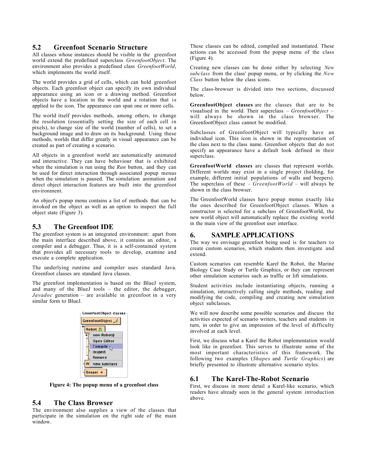# 5.2 Greenfoot Scenario Structure

All classes whose instances should be visible in the greenfoot world extend the predefined superclass GreenfootObject. The environment also provides a predefined class GreenfootWorld, which implements the world itself.

The world provides a grid of cells, which can hold greenfoot objects. Each greenfoot object can specify its own individual appearance using an icon or a drawing method. Greenfoot objects have a location in the world and a rotation that is applied to the icon. The appearance can span one or more cells.

The world itself provides methods, among others, to change the resolution (essentially setting the size of each cell in pixels), to change size of the world (number of cells), to set a background image and to draw on its background. Using these methods, worlds that differ greatly in visual appearance can be created as part of creating a scenario.

All objects in a greenfoot world are automatically animated and interactive. They can have behaviour that is exhibited when the simulation is run using the  $Run$  button, and they can be used for direct interaction through associated popup menus when the simulation is paused. The simulation animation and direct object interaction features are built into the greenfoot environment.

An object's popup menu contains a list of methods that can be invoked on the object as well as an option to inspect the full object state (Figure 3).

# 5.3 The Greenfoot IDE

The greenfoot system is an integrated environment: apart from the main interface described above, it contains an editor, a compiler and a debugger. Thus, it is a self-contained system that provides all necessary tools to develop, examine and execute a complete application.

The underlying runtime and compiler uses standard Java. Greenfoot classes are standard Java classes.

The greenfoot implementation is based on the BlueJ system, and many of the BlueJ tools – the editor, the debugger, Javadoc generation – are available in greenfoot in a very similar form to BlueJ.



Figure 4: The popup menu of a greenfoot class

#### 5.4 The Class Browser

The environment also supplies a view of the classes that participate in the simulation on the right side of the main window.

These classes can be edited, compiled and instantiated. These actions can be accessed from the popup menu of the class (Figure 4).

Creating new classes can be done either by selecting New subclass from the class' popup menu, or by clicking the New Class button below the class icons.

The class-browser is divided into two sections, discussed below.

GreenfootObject classes are the classes that are to be visualised in the world. Their superclass  $-$  GreenfootObject  $$ will always be shown in the class browser. The GreenfootObject class cannot be modified.

Subclasses of GreenfootObject will typically have an individual icon. This icon is shown in the representation of the class next to the class name. Greenfoot objects that do not specify an appearance have a default look defined in their superclass.

GreenfootWorld classes are classes that represent worlds. Different worlds may exist in a single project (holding, for example, different initial populations of walls and beepers). The superclass of these –  $GreenfootWorld$  – will always be shown in the class browser.

The GreenfootWorld classes have popup menus exactly like the ones described for GreenfootObject classes. When a constructor is selected for a subclass of GreenfootWorld, the new world object will automatically replace the existing world in the main view of the greenfoot user interface.

# 6. SAMPLE APPLICATIONS

The way we envisage greenfoot being used is for teachers to create custom scenarios, which students then investigate and extend.

Custom scenarios can resemble Karel the Robot, the Marine Biology Case Study or Turtle Graphics, or they can represent other simulation scenarios such as traffic or lift simulations.

Student activities include instantiating objects, running a simulation, interactively calling single methods, reading and modifying the code, compiling and creating new simulation object subclasses.

We will now describe some possible scenarios and discuss the activities expected of scenario writers, teachers and students in turn, in order to give an impression of the level of difficulty involved at each level.

First, we discuss what a Karel the Robot implementation would look like in greenfoot. This serves to illustrate some of the most important characteristics of this framework. The following two examples (Shapes and Turtle Graphics) are briefly presented to illustrate alternative scenario styles.

## 6.1 The Karel-The-Robot Scenario

First, we discuss in more detail a Karel-like scenario, which readers have already seen in the general system introduction above.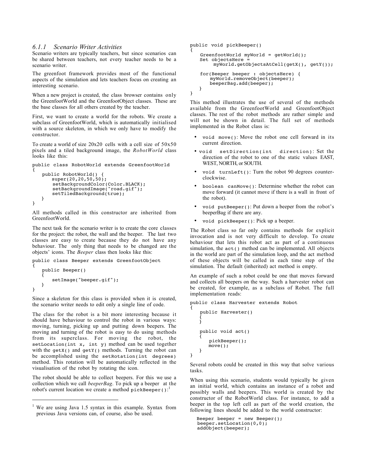#### 6.1.1 Scenario Writer Activities

Scenario writers are typically teachers, but since scenarios can be shared between teachers, not every teacher needs to be a scenario writer.

The greenfoot framework provides most of the functional aspects of the simulation and lets teachers focus on creating an interesting scenario.

When a new project is created, the class browser contains only the GreenfootWorld and the GreenfootObject classes. These are the base classes for all others created by the teacher.

First, we want to create a world for the robots. We create a subclass of GreenfootWorld, which is automatically initialised with a source skeleton, in which we only have to modify the constructor.

To create a world of size  $20x20$  cells with a cell size of  $50x50$ pixels and a tiled background image, the RobotWorld class looks like this:

```
public class RobotWorld extends GreenfootWorld
{
    public RobotWorld() {
       super(20,20,50,50);
 setBackgroundColor(Color.BLACK);
 setBackgroundImage("road.gif");
       setTiledBackground(true);
    }
}
```
All methods called in this constructor are inherited from GreenfootWorld.

The next task for the scenario writer is to create the core classes for the project: the robot, the wall and the beeper. The last two classes are easy to create because they do not have any behaviour. The only thing that needs to be changed are the objects' icons. The Beeper class then looks like this:

```
public class Beeper extends GreenfootObject
{
    public Beeper()
    {
        setImage("beeper.gif");
    }
}
```
Since a skeleton for this class is provided when it is created, the scenario writer needs to edit only a single line of code.

The class for the robot is a bit more interesting because it should have behaviour to control the robot in various ways: moving, turning, picking up and putting down beepers. The moving and turning of the robot is easy to do using methods from its superclass. For moving the robot, the setLocation(int x, int y) method can be used together with the getX() and getY() methods. Turning the robot can be accomplished using the setRotation(int degrees) method. This rotation will be automatically reflected in the visualisation of the robot by rotating the icon.

The robot should be able to collect beepers. For this we use a collection which we call *beeperBag*. To pick up a beeper at the robot's current location we create a method pickBeeper():

 $\overline{a}$ 

```
public void pickBeeper()
{
   GreenfootWorld myWorld = qetWorld();
    Set objectsHere =
         myWorld.getObjectsAtCell(getX(), getY());
    for(Beeper beeper : objectsHere) {
        myWorld.removeObject(beeper);
        beeperBag.add(beeper);
    }
}
```
This method illustrates the use of several of the methods available from the GreenfootWorld and GreenfootObject classes. The rest of the robot methods are rather simple and will not be shown in detail. The full set of methods implemented in the Robot class is:

- void move(): Move the robot one cell forward in its current direction.
- \* void setDirection(int direction): Set the direction of the robot to one of the static values EAST, WEST, NORTH, or SOUTH.
- void turnLeft(): Turn the robot 90 degrees counterclockwise.
- boolean canMove(): Determine whether the robot can move forward (it cannot move if there is a wall in front of the robot).
- void putBeeper(): Put down a beeper from the robot's beeperBag if there are any.
- void pickBeeper(): Pick up a beeper.

The Robot class so far only contains methods for explicit invocation and is not very difficult to develop. To create behaviour that lets this robot act as part of a continuous simulation, the  $act()$  method can be implemented. All objects in the world are part of the simulation loop, and the act method of these objects will be called in each time step of the simulation. The default (inherited) act method is empty.

An example of such a robot could be one that moves forward and collects all beepers on the way. Such a harvester robot can be created, for example, as a subclass of Robot. The full implementation reads:

```
public class Harvester extends Robot
```

```
 public Harvester()
 {
    }
    public void act()
    {
        pickBeeper();
        move();
    }
```
{

}

Several robots could be created in this way that solve various tasks.

When using this scenario, students would typically be given an initial world, which contains an instance of a robot and possibly walls and beepers. This world is created by the constructor of the RobotWorld class. For instance, to add a beeper in the top left cell as part of the world creation, the following lines should be added to the world constructor:

```
 Beeper beeper = new Beeper();
 beeper.setLocation(0,0);
 addObject(beeper);
```
<sup>&</sup>lt;sup>1</sup> We are using Java 1.5 syntax in this example. Syntax from previous Java versions can, of course, also be used.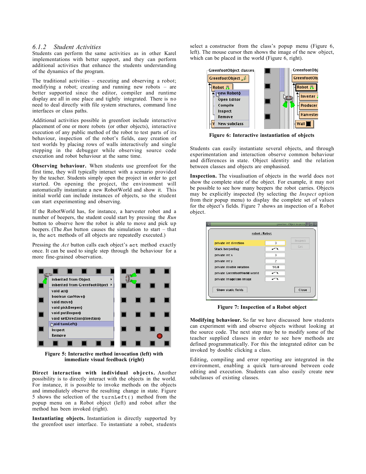#### 6.1.2 Student Activities

Students can perform the same activities as in other Karel implementations with better support, and they can perform additional activities that enhance the students understanding of the dynamics of the program.

The traditional activities – executing and observing a robot; modifying a robot; creating and running new robots – are better supported since the editor, compiler and runtime display are all in one place and tightly integrated. There is no need to deal directly with file system structures, command line interfaces or class paths.

Additional activities possible in greenfoot include interactive placement of one or more robots (or other objects), interactive execution of any public method of the robot to test parts of its behaviour, inspection of the robot's fields, easy creation of test worlds by placing rows of walls interactively and single stepping in the debugger while observing source code execution and robot behaviour at the same time.

Observing behaviour. When students use greenfoot for the first time, they will typically interact with a scenario provided by the teacher. Students simply open the project in order to get started. On opening the project, the environment will automatically instantiate a new RobotWorld and show it. This initial world can include instances of objects, so the student can start experimenting and observing.

If the RobotWorld has, for instance, a harvester robot and a number of beepers, the student could start by pressing the Run button to observe how the robot is able to move and pick up beepers. (The Run button causes the simulation to start  $-$  that is, the act methods of all objects are repeatedly executed.)

Pressing the *Act* button calls each object's act method exactly once. It can be used to single step through the behaviour for a more fine-grained observation.



Figure 5: Interactive method invocation (left) with immediate visual feedback (right)

Direct interaction with individual objects. Another possibility is to directly interact with the objects in the world. For instance, it is possible to invoke methods on the objects and immediately observe the resulting change in state. Figure 5 shows the selection of the turnLeft() method from the popup menu on a Robot object (left) and robot after the method has been invoked (right).

Instantiating objects. Instantiation is directly supported by the greenfoot user interface. To instantiate a robot, students select a constructor from the class's popup menu (Figure 6, left). The mouse cursor then shows the image of the new object, which can be placed in the world (Figure 6, right).



Figure 6: Interactive instantiation of objects

Students can easily instantiate several objects, and through experimentation and interaction observe common behaviour and differences in state. Object identity and the relation between classes and objects are emphasised.

Inspection. The visualisation of objects in the world does not show the complete state of the object. For example, it may not be possible to see how many beepers the robot carries. Objects may be explicitly inspected (by selecting the Inspect option from their popup menu) to display the complete set of values for the object's fields. Figure 7 shows an inspection of a Robot object.

| robot: Robot                 |                |         |
|------------------------------|----------------|---------|
| private int direction        | 3              | Inspect |
| <b>Stack beeperBag</b>       |                | Get     |
| private int $x$              | з              |         |
| private int y                | $\overline{2}$ |         |
| private double rotation      | 90.0           |         |
| private GreenfootWorld world | ∽              |         |
| private ImageIcon image      |                |         |
| Show static fields           |                | Close   |

Figure 7: Inspection of a Robot object

Modifying behaviour. So far we have discussed how students can experiment with and observe objects without looking at the source code. The next step may be to modify some of the teacher supplied classes in order to see how methods are defined programmatically. For this the integrated editor can be invoked by double clicking a class.

Editing, compiling and error reporting are integrated in the environment, enabling a quick turn-around between code editing and execution. Students can also easily create new subclasses of existing classes.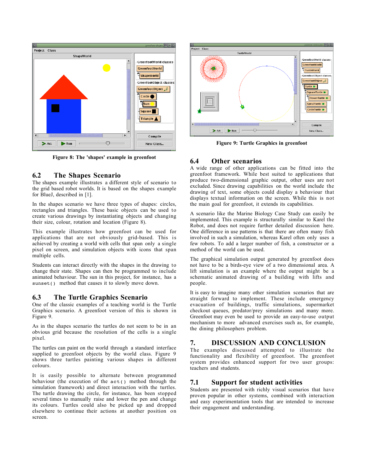

Figure 8: The 'shapes' example in greenfoot

#### 6.2 The Shapes Scenario

The shapes example illustrates a different style of scenario to the grid based robot worlds. It is based on the shapes example for BlueJ, described in [1].

In the shapes scenario we have three types of shapes: circles, rectangles and triangles. These basic objects can be used to create various drawings by instantiating objects and changing their size, colour, rotation and location (Figure 8).

This example illustrates how greenfoot can be used for applications that are not obviously grid-based. This is achieved by creating a world with cells that span only a single pixel on screen, and simulation objects with icons that span multiple cells.

Students can interact directly with the shapes in the drawing to change their state. Shapes can then be programmed to include animated behaviour. The sun in this project, for instance, has a sunset() method that causes it to slowly move down.

#### 6.3 The Turtle Graphics Scenario

One of the classic examples of a teaching world is the Turtle Graphics scenario. A greenfoot version of this is shown in Figure 9.

As in the shapes scenario the turtles do not seem to be in an obvious grid because the resolution of the cells is a single pixel.

The turtles can paint on the world through a standard interface supplied to greenfoot objects by the world class. Figure 9 shows three turtles painting various shapes in different colours.

It is easily possible to alternate between programmed behaviour (the execution of the  $act()$  method through the simulation framework) and direct interaction with the turtles. The turtle drawing the circle, for instance, has been stopped several times to manually raise and lower the pen and change its colours. Turtles could also be picked up and dropped elsewhere to continue their actions at another position on screen.



Figure 9: Turtle Graphics in greenfoot

# 6.4 Other scenarios

A wide range of other applications can be fitted into the greenfoot framework. While best suited to applications that produce two-dimensional graphic output, other uses are not excluded. Since drawing capabilities on the world include the drawing of text, some objects could display a behaviour that displays textual information on the screen. While this is not the main goal for greenfoot, it extends its capabilities.

A scenario like the Marine Biology Case Study can easily be implemented. This example is structurally similar to Karel the Robot, and does not require further detailed discussion here. One difference in use patterns is that there are often many fish involved in such a simulation, whereas Karel often only uses a few robots. To add a larger number of fish, a constructor or a method of the world can be used.

The graphical simulation output generated by greenfoot does not have to be a birds-eye view of a two dimensional area. A lift simulation is an example where the output might be a schematic animated drawing of a building with lifts and people.

It is easy to imagine many other simulation scenarios that are straight forward to implement. These include emergency evacuation of buildings, traffic simulations, supermarket checkout queues, predator/prey simulations and many more. Greenfoot may even be used to provide an easy-to-use output mechanism to more advanced exercises such as, for example, the dining philosophers problem.

# 7. DISCUSSION AND CONCLUSION

The examples discussed attempted to illustrate the functionality and flexibility of greenfoot. The greenfoot system provides enhanced support for two user groups: teachers and students.

# 7.1 Support for student activities

Students are presented with richly visual scenarios that have proven popular in other systems, combined with interaction and easy experimentation tools that are intended to increase their engagement and understanding.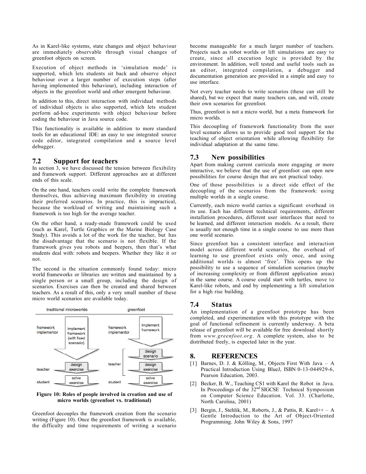As in Karel-like systems, state changes and object behaviour are immediately observable through visual changes of greenfoot objects on screen.

Execution of object methods in 'simulation mode' is supported, which lets students sit back and observe object behaviour over a larger number of execution steps (after having implemented this behaviour), including interaction of objects in the greenfoot world and other emergent behaviour.

In addition to this, direct interaction with individual methods of individual objects is also supported, which lets student perform ad-hoc experiments with object behaviour before coding the behaviour in Java source code.

This functionality is available in addition to more standard tools for an educational IDE: an easy to use integrated source code editor, integrated compilation and a source level debugger.

# 7.2 Support for teachers

In section 3, we have discussed the tension between flexibility and framework support. Different approaches are at different ends of this scale.

On the one hand, teachers could write the complete framework themselves, thus achieving maximum flexibility in creating their preferred scenarios. In practice, this is impractical, because the workload of writing and maintaining such a framework is too high for the average teacher.

On the other hand, a ready-made framework could be used (such as Karel, Turtle Graphics or the Marine Biology Case Study). This avoids a lot of the work for the teacher, but has the disadvantage that the scenario is not flexible. If the framework gives you robots and beepers, then that's what students deal with: robots and beepers. Whether they like it or not.

The second is the situation commonly found today: micro world frameworks or libraries are written and maintained by a single person or a small group, including the design of scenarios. Exercises can then be created and shared between teachers. As a result of this, only a very small number of these micro world scenarios are available today.



#### Figure 10: Roles of people involved in creation and use of micro worlds (greenfoot vs. traditional)

Greenfoot decouples the framework creation from the scenario writing (Figure 10). Once the greenfoot framework is available, the difficulty and time requirements of writing a scenario

become manageable for a much larger number of teachers. Projects such as robot worlds or lift simulations are easy to create, since all execution logic is provided by the environment. In addition, well tested and useful tools such as an editor, integrated compilation, a debugger and documentation generation are provided in a simple and easy to use interface.

Not every teacher needs to write scenarios (these can still be shared), but we expect that many teachers can, and will, create their own scenarios for greenfoot.

Thus, greenfoot is not a micro world, but a meta framework for micro worlds.

This decoupling of framework functionality from the user level scenario allows us to provide good tool support for the teaching of object orientation while allowing flexibility for individual adaptation at the same time.

# 7.3 New possibilities

Apart from making current curricula more engaging or more interactive, we believe that the use of greenfoot can open new possibilities for course design that are not practical today.

One of those possibilities is a direct side effect of the decoupling of the scenarios from the framework: using multiple worlds in a single course.

Currently, each micro world carries a significant overhead in its use. Each has different technical requirements, different installation procedures, different user interfaces that need to be learned, and different interaction models. As a result, there is usually not enough time in a single course to use more than one world scenario.

Since greenfoot has a consistent interface and interaction model across different world scenarios, the overhead of learning to use greenfoot exists only once, and using additional worlds is almost 'free'. This opens up the possibility to use a sequence of simulation scenarios (maybe of increasing complexity or from different application areas) in the same course. A course could start with turtles, move to Karel-like robots, and end by implementing a lift simulation for a high rise building.

# 7.4 Status

An implementation of a greenfoot prototype has been completed, and experimentation with this prototype with the goal of functional refinement is currently underway. A beta release of greenfoot will be available for free download shortly from www.greenfoot.org. A complete system, also to be distributed freely, is expected later in the year.

## 8. REFERENCES

- [1] Barnes, D. J. & Kölling, M., Objects First With Java A Practical Introduction Using BlueJ, ISBN 0-13-044929-6, Pearson Education, 2003.
- [2] Becker, B. W., Teaching CS1 with Karel the Robot in Java. In Proceedings of the  $32<sup>nd</sup> SIGCSE$  Technical Symposium on Computer Science Education. Vol. 33. (Charlotte, North Carolina, 2001)
- [3] Bergin, J., Stehlik, M., Roberts, J., & Pattis, R. Karel++ A Gentle Introduction to the Art of Object-Oriented Programming. John Wiley & Sons, 1997